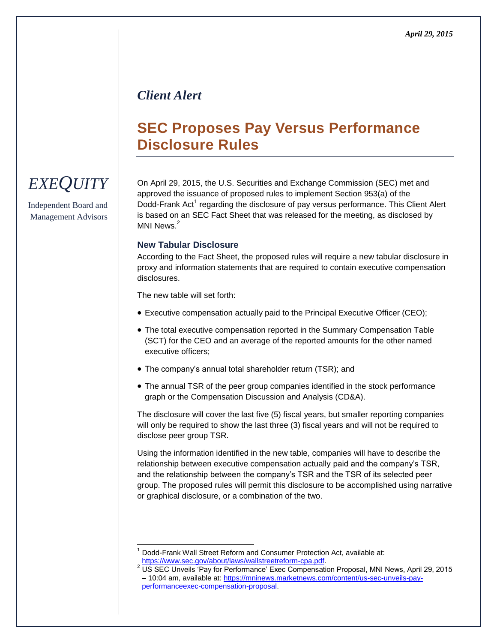### *Client Alert*

## **SEC Proposes Pay Versus Performance Disclosure Rules**

# *EXEQUITY*

Independent Board and Management Advisors On April 29, 2015, the U.S. Securities and Exchange Commission (SEC) met and approved the issuance of proposed rules to implement Section 953(a) of the Dodd-Frank Act<sup>1</sup> regarding the disclosure of pay versus performance. This Client Alert is based on an SEC Fact Sheet that was released for the meeting, as disclosed by MNI News $^2$ 

#### **New Tabular Disclosure**

According to the Fact Sheet, the proposed rules will require a new tabular disclosure in proxy and information statements that are required to contain executive compensation disclosures.

The new table will set forth:

- Executive compensation actually paid to the Principal Executive Officer (CEO);
- The total executive compensation reported in the Summary Compensation Table (SCT) for the CEO and an average of the reported amounts for the other named executive officers;
- The company's annual total shareholder return (TSR); and
- The annual TSR of the peer group companies identified in the stock performance graph or the Compensation Discussion and Analysis (CD&A).

The disclosure will cover the last five (5) fiscal years, but smaller reporting companies will only be required to show the last three (3) fiscal years and will not be required to disclose peer group TSR.

Using the information identified in the new table, companies will have to describe the relationship between executive compensation actually paid and the company's TSR, and the relationship between the company's TSR and the TSR of its selected peer group. The proposed rules will permit this disclosure to be accomplished using narrative or graphical disclosure, or a combination of the two.

l <sup>1</sup> Dodd-Frank Wall Street Reform and Consumer Protection Act, available at: [https://www.sec.gov/about/laws/wallstreetreform-cpa.pdf.](https://www.sec.gov/about/laws/wallstreetreform-cpa.pdf)

<sup>&</sup>lt;sup>2</sup> US SEC Unveils 'Pay for Performance' Exec Compensation Proposal, MNI News, April 29, 2015 – 10:04 am, available at[: https://mninews.marketnews.com/content/us-sec-unveils-pay](https://mninews.marketnews.com/content/us-sec-unveils-pay-performanceexec-compensation-proposal)[performanceexec-compensation-proposal.](https://mninews.marketnews.com/content/us-sec-unveils-pay-performanceexec-compensation-proposal)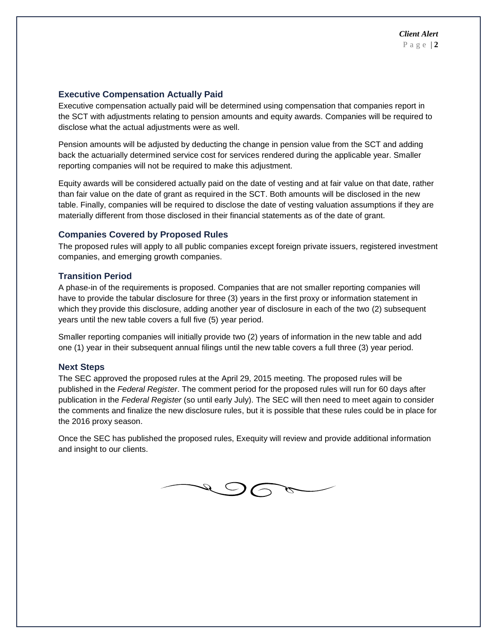#### **Executive Compensation Actually Paid**

Executive compensation actually paid will be determined using compensation that companies report in the SCT with adjustments relating to pension amounts and equity awards. Companies will be required to disclose what the actual adjustments were as well.

Pension amounts will be adjusted by deducting the change in pension value from the SCT and adding back the actuarially determined service cost for services rendered during the applicable year. Smaller reporting companies will not be required to make this adjustment.

Equity awards will be considered actually paid on the date of vesting and at fair value on that date, rather than fair value on the date of grant as required in the SCT. Both amounts will be disclosed in the new table. Finally, companies will be required to disclose the date of vesting valuation assumptions if they are materially different from those disclosed in their financial statements as of the date of grant.

#### **Companies Covered by Proposed Rules**

The proposed rules will apply to all public companies except foreign private issuers, registered investment companies, and emerging growth companies.

#### **Transition Period**

A phase-in of the requirements is proposed. Companies that are not smaller reporting companies will have to provide the tabular disclosure for three (3) years in the first proxy or information statement in which they provide this disclosure, adding another year of disclosure in each of the two (2) subsequent years until the new table covers a full five (5) year period.

Smaller reporting companies will initially provide two (2) years of information in the new table and add one (1) year in their subsequent annual filings until the new table covers a full three (3) year period.

#### **Next Steps**

The SEC approved the proposed rules at the April 29, 2015 meeting. The proposed rules will be published in the *Federal Register*. The comment period for the proposed rules will run for 60 days after publication in the *Federal Register* (so until early July). The SEC will then need to meet again to consider the comments and finalize the new disclosure rules, but it is possible that these rules could be in place for the 2016 proxy season.

Once the SEC has published the proposed rules, Exequity will review and provide additional information and insight to our clients.